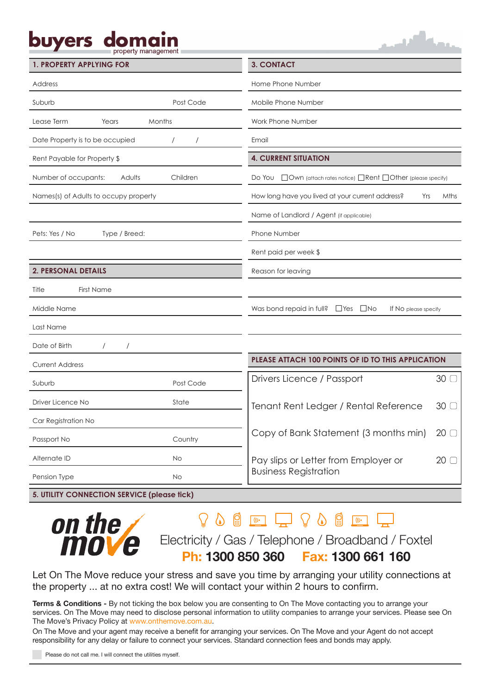# buyers dor

حمداللبي

| <b>1. PROPERTY APPLYING FOR</b>            |           | <b>3. CONTACT</b>                                                                 |             |  |  |
|--------------------------------------------|-----------|-----------------------------------------------------------------------------------|-------------|--|--|
| Address                                    |           | Home Phone Number                                                                 |             |  |  |
| Suburb                                     | Post Code | Mobile Phone Number                                                               |             |  |  |
| Lease Term<br>Months<br>Years              |           | Work Phone Number                                                                 |             |  |  |
| Date Property is to be occupied            |           | Email                                                                             |             |  |  |
| Rent Payable for Property \$               |           | <b>4. CURRENT SITUATION</b>                                                       |             |  |  |
| Number of occupants:<br>Children<br>Adults |           | Do You $\Box$ Own (attach rates notice) $\Box$ Rent $\Box$ Other (please specify) |             |  |  |
| Names(s) of Adults to occupy property      |           | How long have you lived at your current address?<br>Yrs                           | <b>Mths</b> |  |  |
|                                            |           | Name of Landlord / Agent (if applicable)                                          |             |  |  |
| Pets: Yes / No<br>Type / Breed:            |           | Phone Number                                                                      |             |  |  |
|                                            |           | Rent paid per week \$                                                             |             |  |  |
| <b>2. PERSONAL DETAILS</b>                 |           | Reason for leaving                                                                |             |  |  |
| Title<br><b>First Name</b>                 |           |                                                                                   |             |  |  |
| Middle Name                                |           | Was bond repaid in full? $\Box$ Yes $\Box$ No<br>If No please specify             |             |  |  |
| Last Name                                  |           |                                                                                   |             |  |  |
| Date of Birth                              |           |                                                                                   |             |  |  |
| <b>Current Address</b>                     |           | PLEASE ATTACH 100 POINTS OF ID TO THIS APPLICATION                                |             |  |  |
| Suburb                                     | Post Code | Drivers Licence / Passport                                                        | 30          |  |  |
| Driver Licence No                          | State     | Tenant Rent Ledger / Rental Reference                                             |             |  |  |
| Car Registration No                        |           | 30                                                                                |             |  |  |
| Passport No                                | Country   | Copy of Bank Statement (3 months min)                                             |             |  |  |
| Alternate ID                               | No        | Pay slips or Letter from Employer or                                              | 20          |  |  |
| Pension Type                               | No        | <b>Business Registration</b>                                                      |             |  |  |

**5. UTILITY CONNECTION SERVICE (please tick)**



## $Q \circledcirc @ \text{ \textbf{w}} \text{ \textbf{w}} @ \text{ \textbf{w}} \text{ \textbf{w}} \text{ \textbf{w}} \text{ \textbf{w}} \text{ \textbf{w}} \text{ \textbf{w}}$

Electricity / Gas / Telephone / Broadband / Foxtel

**Ph: 1300 850 360 Fax: 1300 661 160**

Let On The Move reduce your stress and save you time by arranging your utility connections at the property ... at no extra cost! We will contact your within 2 hours to confirm.

٦

**Terms & Conditions -** By not ticking the box below you are consenting to On The Move contacting you to arrange your services. On The Move may need to disclose personal information to utility companies to arrange your services. Please see On The Move's Privacy Policy at www.onthemove.com.au.

On The Move and your agent may receive a benefit for arranging your services. On The Move and your Agent do not accept responsibility for any delay or failure to connect your services. Standard connection fees and bonds may apply.

Please do not call me. I will connect the utilities myself.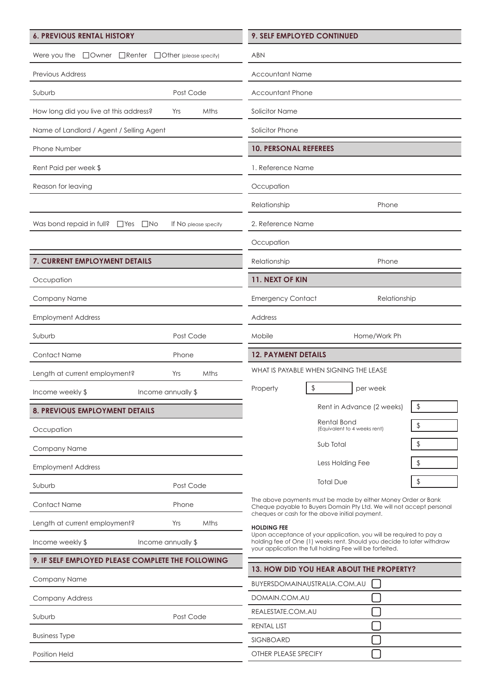## **6. PREVIOUS RENTAL HISTORY**

|  | Were you the $\Box$ Owner $\Box$ Renter $\Box$ Other (please specify) |
|--|-----------------------------------------------------------------------|

Previous Address

Suburb Post Code

| วบมนเ |  |  |
|-------|--|--|
|       |  |  |
|       |  |  |

How long did you live at this address? Yrs Mths

Name of Landlord / Agent / Selling Agent

Phone Number

Rent Paid per week \$

Reason for leaving

Was bond repaid in full? □Yes □No If No please specify

## **7. CURRENT EMPLOYMENT DETAILS**

**Occupation** 

Company Name

Employment Address

Suburb Post Code

Contact Name Phone

Length at current employment? Yrs Mths

Income weekly \$ Income annually \$

## **8. PREVIOUS EMPLOYMENT DETAILS**

**Occupation** 

Company Name

Employment Address

Suburb Post Code

Contact Name Phone

Length at current employment? The Yrs Mths

Income weekly \$ Income annually \$

## **9. IF SELF EMPLOYED PLEASE COMPLETE THE FOLLOWING**

Company Name

Company Address

Suburb Post Code

Business Type

Position Held

| <b>9. SELF EMPLOYED CONTINUED</b> |
|-----------------------------------|
|-----------------------------------|

| ABN                                      |                                             |    |  |  |
|------------------------------------------|---------------------------------------------|----|--|--|
| <b>Accountant Name</b>                   |                                             |    |  |  |
| <b>Accountant Phone</b>                  |                                             |    |  |  |
| Solicitor Name                           |                                             |    |  |  |
| Solicitor Phone                          |                                             |    |  |  |
| <b>10. PERSONAL REFEREES</b>             |                                             |    |  |  |
| 1. Reference Name                        |                                             |    |  |  |
| Occupation                               |                                             |    |  |  |
| Relationship<br>Phone                    |                                             |    |  |  |
| 2. Reference Name                        |                                             |    |  |  |
| Occupation                               |                                             |    |  |  |
| Relationship<br>Phone                    |                                             |    |  |  |
| 11. NEXT OF KIN                          |                                             |    |  |  |
| <b>Emergency Contact</b><br>Relationship |                                             |    |  |  |
| Address                                  |                                             |    |  |  |
| Mobile<br>Home/Work Ph                   |                                             |    |  |  |
| <b>12. PAYMENT DETAILS</b>               |                                             |    |  |  |
|                                          | WHAT IS PAYABLE WHEN SIGNING THE LEASE      |    |  |  |
| Property                                 | \$<br>per week                              |    |  |  |
|                                          | Rent in Advance (2 weeks)                   | \$ |  |  |
|                                          |                                             |    |  |  |
|                                          | Rental Bond<br>(Equivalent to 4 weeks rent) | \$ |  |  |
|                                          | Sub Total                                   | \$ |  |  |
|                                          | Less Holding Fee                            | \$ |  |  |
|                                          | <b>Total Due</b>                            | \$ |  |  |

The above payments must be made by either Money Order or Bank Cheque payable to Buyers Domain Pty Ltd. We will not accept personal cheques or cash for the above initial payment.

**HOLDING FEE**

Upon acceptance of your application, you will be required to pay a holding fee of One (1) weeks rent. Should you decide to later withdraw your application the full holding Fee will be forfeited.

| 13. HOW DID YOU HEAR ABOUT THE PROPERTY? |  |  |  |
|------------------------------------------|--|--|--|
| BUYERSDOMAINAUSTRALIA.COM.AU             |  |  |  |
| DOMAIN.COM.AU                            |  |  |  |
| REALESTATE.COM.AU                        |  |  |  |
| <b>RENTAL LIST</b>                       |  |  |  |
| <b>SIGNBOARD</b>                         |  |  |  |
| OTHER PLEASE SPECIFY                     |  |  |  |